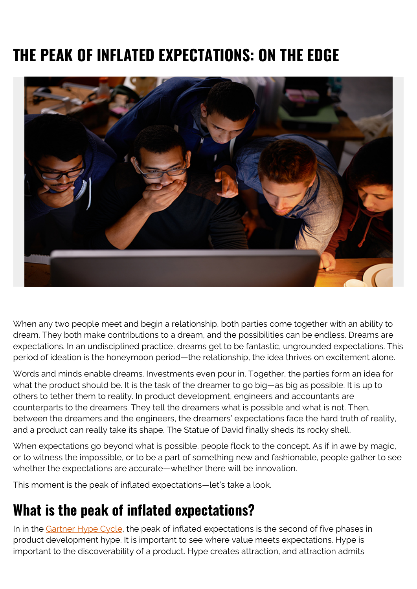# **THE PEAK OF INFLATED EXPECTATIONS: ON THE EDGE**



When any two people meet and begin a relationship, both parties come together with an ability to dream. They both make contributions to a dream, and the possibilities can be endless. Dreams are expectations. In an undisciplined practice, dreams get to be fantastic, ungrounded expectations. This period of ideation is the honeymoon period—the relationship, the idea thrives on excitement alone.

Words and minds enable dreams. Investments even pour in. Together, the parties form an idea for what the product should be. It is the task of the dreamer to go big—as big as possible. It is up to others to tether them to reality. In product development, engineers and accountants are counterparts to the dreamers. They tell the dreamers what is possible and what is not. Then, between the dreamers and the engineers, the dreamers' expectations face the hard truth of reality, and a product can really take its shape. The Statue of David finally sheds its rocky shell.

When expectations go beyond what is possible, people flock to the concept. As if in awe by magic, or to witness the impossible, or to be a part of something new and fashionable, people gather to see whether the expectations are accurate—whether there will be innovation.

This moment is the peak of inflated expectations—let's take a look.

#### **What is the peak of inflated expectations?**

In in the [Gartner Hype Cycle,](https://blogs.bmc.com/blogs/gartner-hype-cycle/) the peak of inflated expectations is the second of five phases in product development hype. It is important to see where value meets expectations. Hype is important to the discoverability of a product. Hype creates attraction, and attraction admits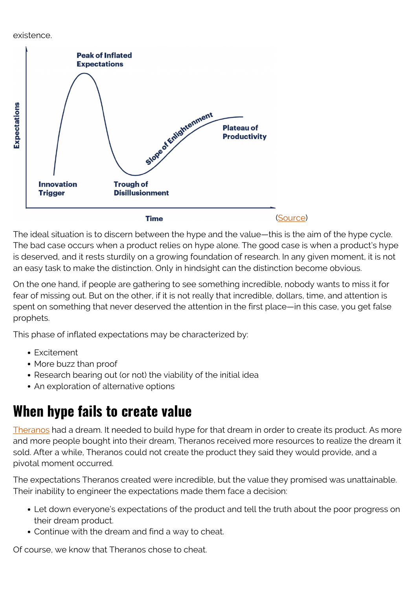existence.



The ideal situation is to discern between the hype and the value—this is the aim of the hype cycle. The bad case occurs when a product relies on hype alone. The good case is when a product's hype is deserved, and it rests sturdily on a growing foundation of research. In any given moment, it is not an easy task to make the distinction. Only in hindsight can the distinction become obvious.

On the one hand, if people are gathering to see something incredible, nobody wants to miss it for fear of missing out. But on the other, if it is not really that incredible, dollars, time, and attention is spent on something that never deserved the attention in the first place—in this case, you get false prophets.

This phase of inflated expectations may be characterized by:

- Excitement
- More buzz than proof
- Research bearing out (or not) the viability of the initial idea
- An exploration of alternative options

### **When hype fails to create value**

[Theranos](https://en.wikipedia.org/wiki/Theranos) had a dream. It needed to build hype for that dream in order to create its product. As more and more people bought into their dream, Theranos received more resources to realize the dream it sold. After a while, Theranos could not create the product they said they would provide, and a pivotal moment occurred.

The expectations Theranos created were incredible, but the value they promised was unattainable. Their inability to engineer the expectations made them face a decision:

- Let down everyone's expectations of the product and tell the truth about the poor progress on their dream product.
- Continue with the dream and find a way to cheat.

Of course, we know that Theranos chose to cheat.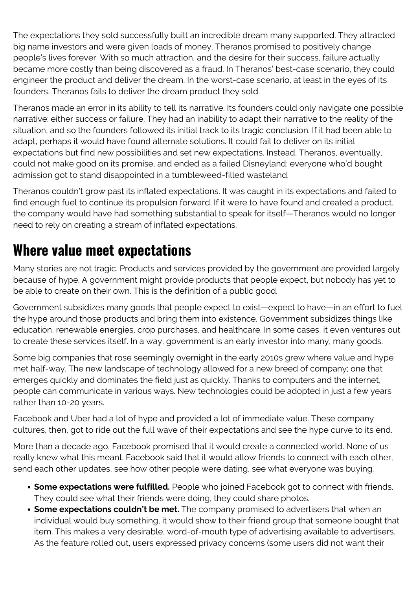The expectations they sold successfully built an incredible dream many supported. They attracted big name investors and were given loads of money. Theranos promised to positively change people's lives forever. With so much attraction, and the desire for their success, failure actually became more costly than being discovered as a fraud. In Theranos' best-case scenario, they could engineer the product and deliver the dream. In the worst-case scenario, at least in the eyes of its founders, Theranos fails to deliver the dream product they sold.

Theranos made an error in its ability to tell its narrative. Its founders could only navigate one possible narrative: either success or failure. They had an inability to adapt their narrative to the reality of the situation, and so the founders followed its initial track to its tragic conclusion. If it had been able to adapt, perhaps it would have found alternate solutions. It could fail to deliver on its initial expectations but find new possibilities and set new expectations. Instead, Theranos, eventually, could not make good on its promise, and ended as a failed Disneyland: everyone who'd bought admission got to stand disappointed in a tumbleweed-filled wasteland.

Theranos couldn't grow past its inflated expectations. It was caught in its expectations and failed to find enough fuel to continue its propulsion forward. If it were to have found and created a product, the company would have had something substantial to speak for itself—Theranos would no longer need to rely on creating a stream of inflated expectations.

#### **Where value meet expectations**

Many stories are not tragic. Products and services provided by the government are provided largely because of hype. A government might provide products that people expect, but nobody has yet to be able to create on their own. This is the definition of a public good.

Government subsidizes many goods that people expect to exist—expect to have—in an effort to fuel the hype around those products and bring them into existence. Government subsidizes things like education, renewable energies, crop purchases, and healthcare. In some cases, it even ventures out to create these services itself. In a way, government is an early investor into many, many goods.

Some big companies that rose seemingly overnight in the early 2010s grew where value and hype met half-way. The new landscape of technology allowed for a new breed of company; one that emerges quickly and dominates the field just as quickly. Thanks to computers and the internet, people can communicate in various ways. New technologies could be adopted in just a few years rather than 10-20 years.

Facebook and Uber had a lot of hype and provided a lot of immediate value. These company cultures, then, got to ride out the full wave of their expectations and see the hype curve to its end.

More than a decade ago, Facebook promised that it would create a connected world. None of us really knew what this meant. Facebook said that it would allow friends to connect with each other, send each other updates, see how other people were dating, see what everyone was buying.

- **Some expectations were fulfilled.** People who joined Facebook got to connect with friends. They could see what their friends were doing, they could share photos.
- **Some expectations couldn't be met.** The company promised to advertisers that when an individual would buy something, it would show to their friend group that someone bought that item. This makes a very desirable, word-of-mouth type of advertising available to advertisers. As the feature rolled out, users expressed privacy concerns (some users did not want their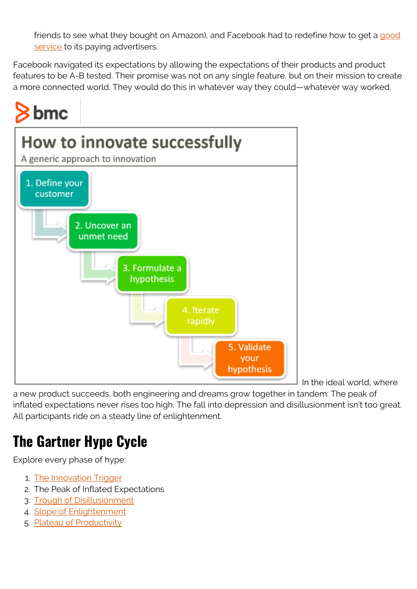friends to see what they bought on Amazon), and Facebook had to redefine how to get a [good](https://blogs.bmc.com/blogs/it-service/) [service](https://blogs.bmc.com/blogs/it-service/) to its paying advertisers.

Facebook navigated its expectations by allowing the expectations of their products and product features to be A-B tested. Their promise was not on any single feature, but on their mission to create a more connected world. They would do this in whatever way they could—whatever way worked.



In the ideal world, where

a new product succeeds, both engineering and dreams grow together in tandem: The peak of inflated expectations never rises too high. The fall into depression and disillusionment isn't too great. All participants ride on a steady line of enlightenment.

## **The Gartner Hype Cycle**

Explore every phase of hype:

- 1. [The Innovation Trigger](https://blogs.bmc.com/blogs/hype-cycle-innovation-trigger)
- 2. The Peak of Inflated Expectations
- 3. [Trough of Disillusionment](https://blogs.bmc.com/blogs/hype-cycle-trough-of-disillusionment)
- 4. [Slope of Enlightenment](https://blogs.bmc.com/blogs/hype-cycle-slope-of-enlightenment)
- 5. [Plateau of Productivity](https://blogs.bmc.com/blogs/hype-cycle-plateau-of-productivity)